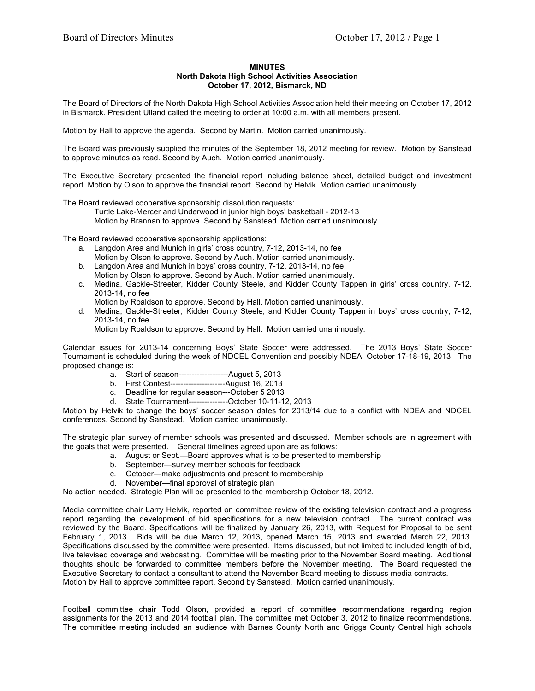## **MINUTES North Dakota High School Activities Association October 17, 2012, Bismarck, ND**

The Board of Directors of the North Dakota High School Activities Association held their meeting on October 17, 2012 in Bismarck. President Ulland called the meeting to order at 10:00 a.m. with all members present.

Motion by Hall to approve the agenda. Second by Martin. Motion carried unanimously.

The Board was previously supplied the minutes of the September 18, 2012 meeting for review. Motion by Sanstead to approve minutes as read. Second by Auch. Motion carried unanimously.

The Executive Secretary presented the financial report including balance sheet, detailed budget and investment report. Motion by Olson to approve the financial report. Second by Helvik. Motion carried unanimously.

The Board reviewed cooperative sponsorship dissolution requests:

Turtle Lake-Mercer and Underwood in junior high boys' basketball - 2012-13 Motion by Brannan to approve. Second by Sanstead. Motion carried unanimously.

The Board reviewed cooperative sponsorship applications:

- a. Langdon Area and Munich in girls' cross country, 7-12, 2013-14, no fee Motion by Olson to approve. Second by Auch. Motion carried unanimously.
- b. Langdon Area and Munich in boys' cross country, 7-12, 2013-14, no fee Motion by Olson to approve. Second by Auch. Motion carried unanimously.
- c. Medina, Gackle-Streeter, Kidder County Steele, and Kidder County Tappen in girls' cross country, 7-12, 2013-14, no fee
	- Motion by Roaldson to approve. Second by Hall. Motion carried unanimously.
- d. Medina, Gackle-Streeter, Kidder County Steele, and Kidder County Tappen in boys' cross country, 7-12, 2013-14, no fee

Motion by Roaldson to approve. Second by Hall. Motion carried unanimously.

Calendar issues for 2013-14 concerning Boys' State Soccer were addressed. The 2013 Boys' State Soccer Tournament is scheduled during the week of NDCEL Convention and possibly NDEA, October 17-18-19, 2013. The proposed change is:

- a. Start of season-------------------August 5, 2013
- b. First Contest---------------------August 16, 2013
- c. Deadline for regular season---October 5 2013
- d. State Tournament---------------October 10-11-12, 2013

Motion by Helvik to change the boys' soccer season dates for 2013/14 due to a conflict with NDEA and NDCEL conferences. Second by Sanstead. Motion carried unanimously.

The strategic plan survey of member schools was presented and discussed. Member schools are in agreement with the goals that were presented. General timelines agreed upon are as follows:

- a. August or Sept.—Board approves what is to be presented to membership
	- b. September—survey member schools for feedback
	- c. October—make adjustments and present to membership
	- d. November—final approval of strategic plan

No action needed. Strategic Plan will be presented to the membership October 18, 2012.

Media committee chair Larry Helvik, reported on committee review of the existing television contract and a progress report regarding the development of bid specifications for a new television contract. The current contract was reviewed by the Board. Specifications will be finalized by January 26, 2013, with Request for Proposal to be sent February 1, 2013. Bids will be due March 12, 2013, opened March 15, 2013 and awarded March 22, 2013. Specifications discussed by the committee were presented. Items discussed, but not limited to included length of bid, live televised coverage and webcasting. Committee will be meeting prior to the November Board meeting. Additional thoughts should be forwarded to committee members before the November meeting. The Board requested the Executive Secretary to contact a consultant to attend the November Board meeting to discuss media contracts. Motion by Hall to approve committee report. Second by Sanstead. Motion carried unanimously.

Football committee chair Todd Olson, provided a report of committee recommendations regarding region assignments for the 2013 and 2014 football plan. The committee met October 3, 2012 to finalize recommendations. The committee meeting included an audience with Barnes County North and Griggs County Central high schools